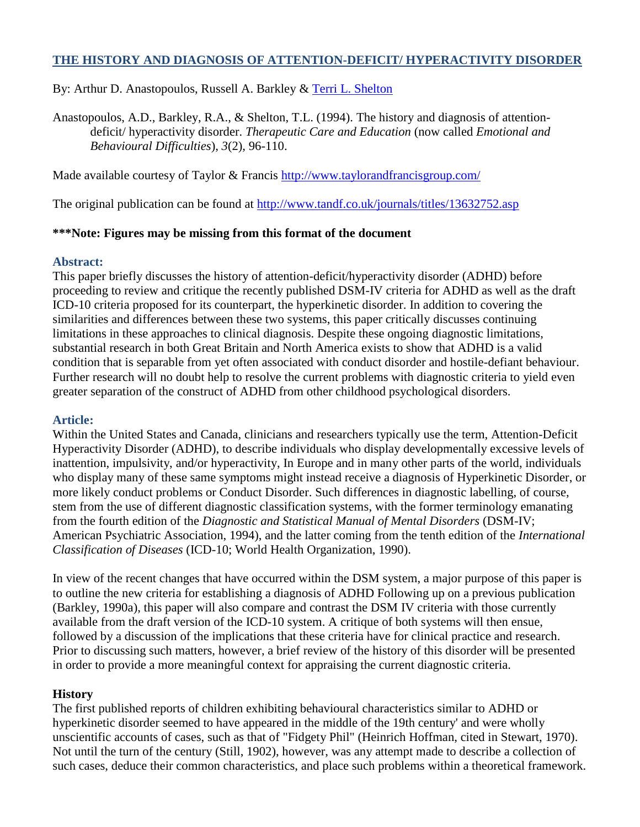# **THE HISTORY AND DIAGNOSIS OF ATTENTION-DEFICIT/ HYPERACTIVITY DISORDER**

By: Arthur D. Anastopoulos, Russell A. Barkley & [Terri L. Shelton](http://libres.uncg.edu/ir/clist.aspx?id=131)

Anastopoulos, A.D., Barkley, R.A., & Shelton, T.L. (1994). The history and diagnosis of attentiondeficit/ hyperactivity disorder. *Therapeutic Care and Education* (now called *Emotional and Behavioural Difficulties*), *3*(2), 96-110.

Made available courtesy of Taylor & Francis<http://www.taylorandfrancisgroup.com/>

The original publication can be found at<http://www.tandf.co.uk/journals/titles/13632752.asp>

#### **\*\*\*Note: Figures may be missing from this format of the document**

#### **Abstract:**

This paper briefly discusses the history of attention-deficit/hyperactivity disorder (ADHD) before proceeding to review and critique the recently published DSM-IV criteria for ADHD as well as the draft ICD-10 criteria proposed for its counterpart, the hyperkinetic disorder. In addition to covering the similarities and differences between these two systems, this paper critically discusses continuing limitations in these approaches to clinical diagnosis. Despite these ongoing diagnostic limitations, substantial research in both Great Britain and North America exists to show that ADHD is a valid condition that is separable from yet often associated with conduct disorder and hostile-defiant behaviour. Further research will no doubt help to resolve the current problems with diagnostic criteria to yield even greater separation of the construct of ADHD from other childhood psychological disorders.

#### **Article:**

Within the United States and Canada, clinicians and researchers typically use the term, Attention-Deficit Hyperactivity Disorder (ADHD), to describe individuals who display developmentally excessive levels of inattention, impulsivity, and/or hyperactivity, In Europe and in many other parts of the world, individuals who display many of these same symptoms might instead receive a diagnosis of Hyperkinetic Disorder, or more likely conduct problems or Conduct Disorder. Such differences in diagnostic labelling, of course, stem from the use of different diagnostic classification systems, with the former terminology emanating from the fourth edition of the *Diagnostic and Statistical Manual of Mental Disorders* (DSM-IV; American Psychiatric Association, 1994), and the latter coming from the tenth edition of the *International Classification of Diseases* (ICD-10; World Health Organization, 1990).

In view of the recent changes that have occurred within the DSM system, a major purpose of this paper is to outline the new criteria for establishing a diagnosis of ADHD Following up on a previous publication (Barkley, 1990a), this paper will also compare and contrast the DSM IV criteria with those currently available from the draft version of the ICD-10 system. A critique of both systems will then ensue, followed by a discussion of the implications that these criteria have for clinical practice and research. Prior to discussing such matters, however, a brief review of the history of this disorder will be presented in order to provide a more meaningful context for appraising the current diagnostic criteria.

### **History**

The first published reports of children exhibiting behavioural characteristics similar to ADHD or hyperkinetic disorder seemed to have appeared in the middle of the 19th century' and were wholly unscientific accounts of cases, such as that of "Fidgety Phil" (Heinrich Hoffman, cited in Stewart, 1970). Not until the turn of the century (Still, 1902), however, was any attempt made to describe a collection of such cases, deduce their common characteristics, and place such problems within a theoretical framework.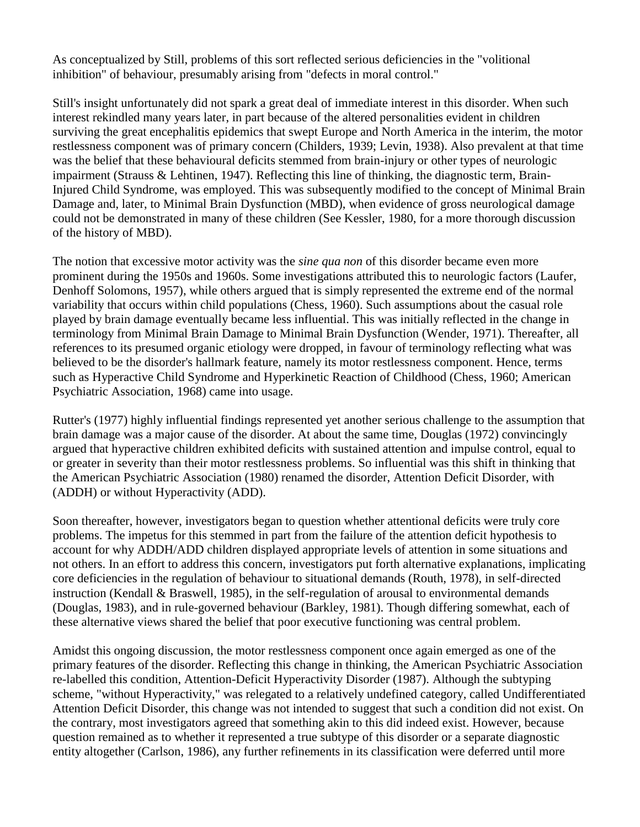As conceptualized by Still, problems of this sort reflected serious deficiencies in the "volitional inhibition" of behaviour, presumably arising from "defects in moral control."

Still's insight unfortunately did not spark a great deal of immediate interest in this disorder. When such interest rekindled many years later, in part because of the altered personalities evident in children surviving the great encephalitis epidemics that swept Europe and North America in the interim, the motor restlessness component was of primary concern (Childers, 1939; Levin, 1938). Also prevalent at that time was the belief that these behavioural deficits stemmed from brain-injury or other types of neurologic impairment (Strauss & Lehtinen, 1947). Reflecting this line of thinking, the diagnostic term, Brain-Injured Child Syndrome, was employed. This was subsequently modified to the concept of Minimal Brain Damage and, later, to Minimal Brain Dysfunction (MBD), when evidence of gross neurological damage could not be demonstrated in many of these children (See Kessler, 1980, for a more thorough discussion of the history of MBD).

The notion that excessive motor activity was the *sine qua non* of this disorder became even more prominent during the 1950s and 1960s. Some investigations attributed this to neurologic factors (Laufer, Denhoff Solomons, 1957), while others argued that is simply represented the extreme end of the normal variability that occurs within child populations (Chess, 1960). Such assumptions about the casual role played by brain damage eventually became less influential. This was initially reflected in the change in terminology from Minimal Brain Damage to Minimal Brain Dysfunction (Wender, 1971). Thereafter, all references to its presumed organic etiology were dropped, in favour of terminology reflecting what was believed to be the disorder's hallmark feature, namely its motor restlessness component. Hence, terms such as Hyperactive Child Syndrome and Hyperkinetic Reaction of Childhood (Chess, 1960; American Psychiatric Association, 1968) came into usage.

Rutter's (1977) highly influential findings represented yet another serious challenge to the assumption that brain damage was a major cause of the disorder. At about the same time, Douglas (1972) convincingly argued that hyperactive children exhibited deficits with sustained attention and impulse control, equal to or greater in severity than their motor restlessness problems. So influential was this shift in thinking that the American Psychiatric Association (1980) renamed the disorder, Attention Deficit Disorder, with (ADDH) or without Hyperactivity (ADD).

Soon thereafter, however, investigators began to question whether attentional deficits were truly core problems. The impetus for this stemmed in part from the failure of the attention deficit hypothesis to account for why ADDH/ADD children displayed appropriate levels of attention in some situations and not others. In an effort to address this concern, investigators put forth alternative explanations, implicating core deficiencies in the regulation of behaviour to situational demands (Routh, 1978), in self-directed instruction (Kendall & Braswell, 1985), in the self-regulation of arousal to environmental demands (Douglas, 1983), and in rule-governed behaviour (Barkley, 1981). Though differing somewhat, each of these alternative views shared the belief that poor executive functioning was central problem.

Amidst this ongoing discussion, the motor restlessness component once again emerged as one of the primary features of the disorder. Reflecting this change in thinking, the American Psychiatric Association re-labelled this condition, Attention-Deficit Hyperactivity Disorder (1987). Although the subtyping scheme, "without Hyperactivity," was relegated to a relatively undefined category, called Undifferentiated Attention Deficit Disorder, this change was not intended to suggest that such a condition did not exist. On the contrary, most investigators agreed that something akin to this did indeed exist. However, because question remained as to whether it represented a true subtype of this disorder or a separate diagnostic entity altogether (Carlson, 1986), any further refinements in its classification were deferred until more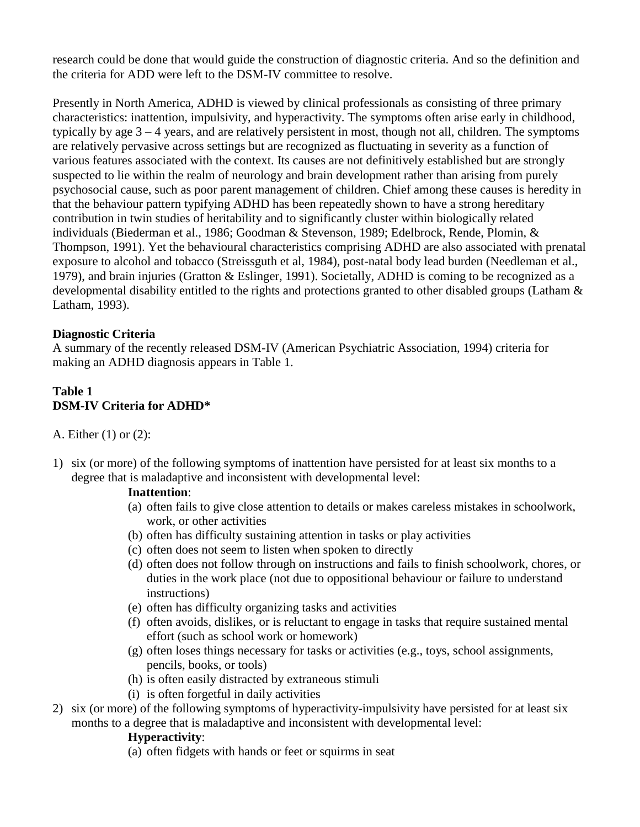research could be done that would guide the construction of diagnostic criteria. And so the definition and the criteria for ADD were left to the DSM-IV committee to resolve.

Presently in North America, ADHD is viewed by clinical professionals as consisting of three primary characteristics: inattention, impulsivity, and hyperactivity. The symptoms often arise early in childhood, typically by age 3 – 4 years, and are relatively persistent in most, though not all, children. The symptoms are relatively pervasive across settings but are recognized as fluctuating in severity as a function of various features associated with the context. Its causes are not definitively established but are strongly suspected to lie within the realm of neurology and brain development rather than arising from purely psychosocial cause, such as poor parent management of children. Chief among these causes is heredity in that the behaviour pattern typifying ADHD has been repeatedly shown to have a strong hereditary contribution in twin studies of heritability and to significantly cluster within biologically related individuals (Biederman et al., 1986; Goodman & Stevenson, 1989; Edelbrock, Rende, Plomin, & Thompson, 1991). Yet the behavioural characteristics comprising ADHD are also associated with prenatal exposure to alcohol and tobacco (Streissguth et al, 1984), post-natal body lead burden (Needleman et al., 1979), and brain injuries (Gratton & Eslinger, 1991). Societally, ADHD is coming to be recognized as a developmental disability entitled to the rights and protections granted to other disabled groups (Latham & Latham, 1993).

### **Diagnostic Criteria**

A summary of the recently released DSM-IV (American Psychiatric Association, 1994) criteria for making an ADHD diagnosis appears in Table 1.

# **Table 1 DSM-IV Criteria for ADHD\***

A. Either (1) or (2):

1) six (or more) of the following symptoms of inattention have persisted for at least six months to a degree that is maladaptive and inconsistent with developmental level:

### **Inattention**:

- (a) often fails to give close attention to details or makes careless mistakes in schoolwork, work, or other activities
- (b) often has difficulty sustaining attention in tasks or play activities
- (c) often does not seem to listen when spoken to directly
- (d) often does not follow through on instructions and fails to finish schoolwork, chores, or duties in the work place (not due to oppositional behaviour or failure to understand instructions)
- (e) often has difficulty organizing tasks and activities
- (f) often avoids, dislikes, or is reluctant to engage in tasks that require sustained mental effort (such as school work or homework)
- (g) often loses things necessary for tasks or activities (e.g., toys, school assignments, pencils, books, or tools)
- (h) is often easily distracted by extraneous stimuli
- (i) is often forgetful in daily activities
- 2) six (or more) of the following symptoms of hyperactivity-impulsivity have persisted for at least six months to a degree that is maladaptive and inconsistent with developmental level:

### **Hyperactivity**:

(a) often fidgets with hands or feet or squirms in seat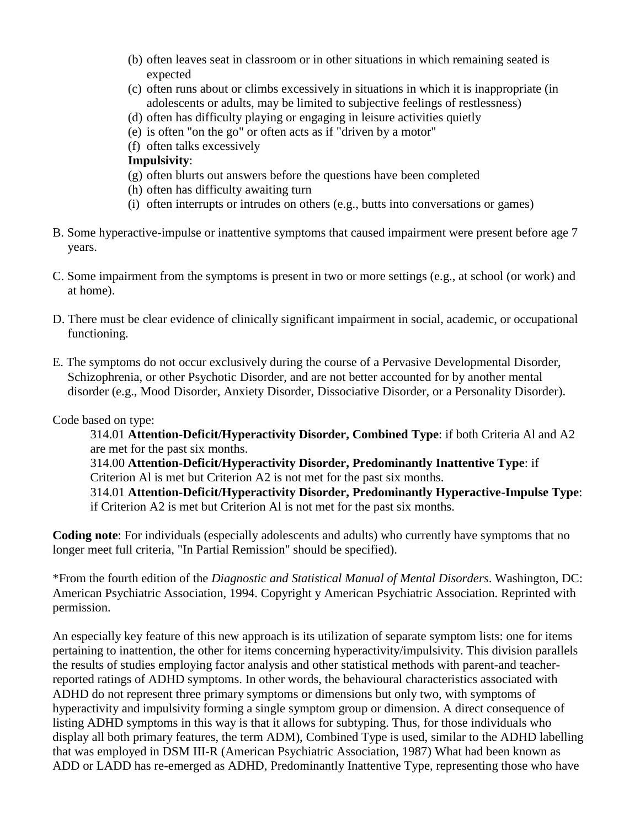- (b) often leaves seat in classroom or in other situations in which remaining seated is expected
- (c) often runs about or climbs excessively in situations in which it is inappropriate (in adolescents or adults, may be limited to subjective feelings of restlessness)
- (d) often has difficulty playing or engaging in leisure activities quietly
- (e) is often "on the go" or often acts as if "driven by a motor"
- (f) often talks excessively

#### **Impulsivity**:

- (g) often blurts out answers before the questions have been completed
- (h) often has difficulty awaiting turn
- (i) often interrupts or intrudes on others (e.g., butts into conversations or games)
- B. Some hyperactive-impulse or inattentive symptoms that caused impairment were present before age 7 years.
- C. Some impairment from the symptoms is present in two or more settings (e.g., at school (or work) and at home).
- D. There must be clear evidence of clinically significant impairment in social, academic, or occupational functioning.
- E. The symptoms do not occur exclusively during the course of a Pervasive Developmental Disorder, Schizophrenia, or other Psychotic Disorder, and are not better accounted for by another mental disorder (e.g., Mood Disorder, Anxiety Disorder, Dissociative Disorder, or a Personality Disorder).

#### Code based on type:

314.01 **Attention-Deficit/Hyperactivity Disorder, Combined Type**: if both Criteria Al and A2 are met for the past six months.

314.00 **Attention-Deficit/Hyperactivity Disorder, Predominantly Inattentive Type**: if Criterion Al is met but Criterion A2 is not met for the past six months.

314.01 **Attention-Deficit/Hyperactivity Disorder, Predominantly Hyperactive-Impulse Type**: if Criterion A2 is met but Criterion Al is not met for the past six months.

**Coding note**: For individuals (especially adolescents and adults) who currently have symptoms that no longer meet full criteria, "In Partial Remission" should be specified).

\*From the fourth edition of the *Diagnostic and Statistical Manual of Mental Disorders*. Washington, DC: American Psychiatric Association, 1994. Copyright y American Psychiatric Association. Reprinted with permission.

An especially key feature of this new approach is its utilization of separate symptom lists: one for items pertaining to inattention, the other for items concerning hyperactivity/impulsivity. This division parallels the results of studies employing factor analysis and other statistical methods with parent-and teacherreported ratings of ADHD symptoms. In other words, the behavioural characteristics associated with ADHD do not represent three primary symptoms or dimensions but only two, with symptoms of hyperactivity and impulsivity forming a single symptom group or dimension. A direct consequence of listing ADHD symptoms in this way is that it allows for subtyping. Thus, for those individuals who display all both primary features, the term ADM), Combined Type is used, similar to the ADHD labelling that was employed in DSM III-R (American Psychiatric Association, 1987) What had been known as ADD or LADD has re-emerged as ADHD, Predominantly Inattentive Type, representing those who have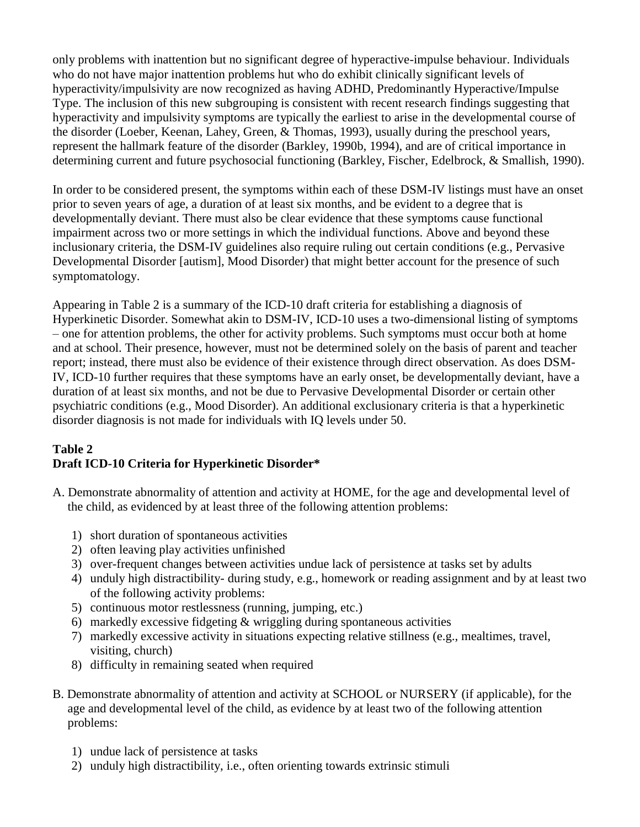only problems with inattention but no significant degree of hyperactive-impulse behaviour. Individuals who do not have major inattention problems hut who do exhibit clinically significant levels of hyperactivity/impulsivity are now recognized as having ADHD, Predominantly Hyperactive/Impulse Type. The inclusion of this new subgrouping is consistent with recent research findings suggesting that hyperactivity and impulsivity symptoms are typically the earliest to arise in the developmental course of the disorder (Loeber, Keenan, Lahey, Green, & Thomas, 1993), usually during the preschool years, represent the hallmark feature of the disorder (Barkley, 1990b, 1994), and are of critical importance in determining current and future psychosocial functioning (Barkley, Fischer, Edelbrock, & Smallish, 1990).

In order to be considered present, the symptoms within each of these DSM-IV listings must have an onset prior to seven years of age, a duration of at least six months, and be evident to a degree that is developmentally deviant. There must also be clear evidence that these symptoms cause functional impairment across two or more settings in which the individual functions. Above and beyond these inclusionary criteria, the DSM-IV guidelines also require ruling out certain conditions (e.g., Pervasive Developmental Disorder [autism], Mood Disorder) that might better account for the presence of such symptomatology.

Appearing in Table 2 is a summary of the ICD-10 draft criteria for establishing a diagnosis of Hyperkinetic Disorder. Somewhat akin to DSM-IV, ICD-10 uses a two-dimensional listing of symptoms – one for attention problems, the other for activity problems. Such symptoms must occur both at home and at school. Their presence, however, must not be determined solely on the basis of parent and teacher report; instead, there must also be evidence of their existence through direct observation. As does DSM-IV, ICD-10 further requires that these symptoms have an early onset, be developmentally deviant, have a duration of at least six months, and not be due to Pervasive Developmental Disorder or certain other psychiatric conditions (e.g., Mood Disorder). An additional exclusionary criteria is that a hyperkinetic disorder diagnosis is not made for individuals with IQ levels under 50.

### **Table 2 Draft ICD-10 Criteria for Hyperkinetic Disorder\***

- A. Demonstrate abnormality of attention and activity at HOME, for the age and developmental level of the child, as evidenced by at least three of the following attention problems:
	- 1) short duration of spontaneous activities
	- 2) often leaving play activities unfinished
	- 3) over-frequent changes between activities undue lack of persistence at tasks set by adults
	- 4) unduly high distractibility- during study, e.g., homework or reading assignment and by at least two of the following activity problems:
	- 5) continuous motor restlessness (running, jumping, etc.)
	- 6) markedly excessive fidgeting & wriggling during spontaneous activities
	- 7) markedly excessive activity in situations expecting relative stillness (e.g., mealtimes, travel, visiting, church)
	- 8) difficulty in remaining seated when required
- B. Demonstrate abnormality of attention and activity at SCHOOL or NURSERY (if applicable), for the age and developmental level of the child, as evidence by at least two of the following attention problems:
	- 1) undue lack of persistence at tasks
	- 2) unduly high distractibility, i.e., often orienting towards extrinsic stimuli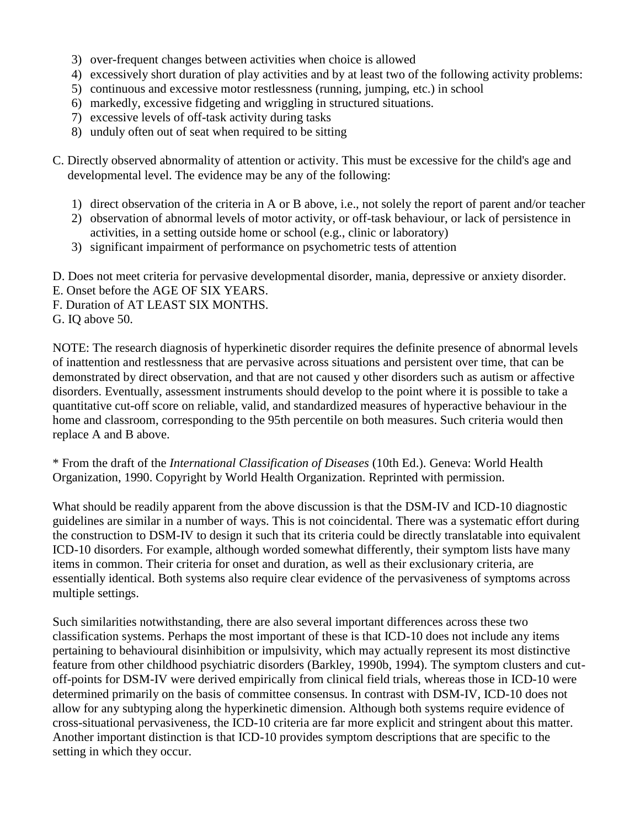- 3) over-frequent changes between activities when choice is allowed
- 4) excessively short duration of play activities and by at least two of the following activity problems:
- 5) continuous and excessive motor restlessness (running, jumping, etc.) in school
- 6) markedly, excessive fidgeting and wriggling in structured situations.
- 7) excessive levels of off-task activity during tasks
- 8) unduly often out of seat when required to be sitting

C. Directly observed abnormality of attention or activity. This must be excessive for the child's age and developmental level. The evidence may be any of the following:

- 1) direct observation of the criteria in A or B above, i.e., not solely the report of parent and/or teacher
- 2) observation of abnormal levels of motor activity, or off-task behaviour, or lack of persistence in activities, in a setting outside home or school (e.g., clinic or laboratory)
- 3) significant impairment of performance on psychometric tests of attention
- D. Does not meet criteria for pervasive developmental disorder, mania, depressive or anxiety disorder.
- E. Onset before the AGE OF SIX YEARS.
- F. Duration of AT LEAST SIX MONTHS.
- G. IQ above 50.

NOTE: The research diagnosis of hyperkinetic disorder requires the definite presence of abnormal levels of inattention and restlessness that are pervasive across situations and persistent over time, that can be demonstrated by direct observation, and that are not caused y other disorders such as autism or affective disorders. Eventually, assessment instruments should develop to the point where it is possible to take a quantitative cut-off score on reliable, valid, and standardized measures of hyperactive behaviour in the home and classroom, corresponding to the 95th percentile on both measures. Such criteria would then replace A and B above.

\* From the draft of the *International Classification of Diseases* (10th Ed.). Geneva: World Health Organization, 1990. Copyright by World Health Organization. Reprinted with permission.

What should be readily apparent from the above discussion is that the DSM-IV and ICD-10 diagnostic guidelines are similar in a number of ways. This is not coincidental. There was a systematic effort during the construction to DSM-IV to design it such that its criteria could be directly translatable into equivalent ICD-10 disorders. For example, although worded somewhat differently, their symptom lists have many items in common. Their criteria for onset and duration, as well as their exclusionary criteria, are essentially identical. Both systems also require clear evidence of the pervasiveness of symptoms across multiple settings.

Such similarities notwithstanding, there are also several important differences across these two classification systems. Perhaps the most important of these is that ICD-10 does not include any items pertaining to behavioural disinhibition or impulsivity, which may actually represent its most distinctive feature from other childhood psychiatric disorders (Barkley, 1990b, 1994). The symptom clusters and cutoff-points for DSM-IV were derived empirically from clinical field trials, whereas those in ICD-10 were determined primarily on the basis of committee consensus. In contrast with DSM-IV, ICD-10 does not allow for any subtyping along the hyperkinetic dimension. Although both systems require evidence of cross-situational pervasiveness, the ICD-10 criteria are far more explicit and stringent about this matter. Another important distinction is that ICD-10 provides symptom descriptions that are specific to the setting in which they occur.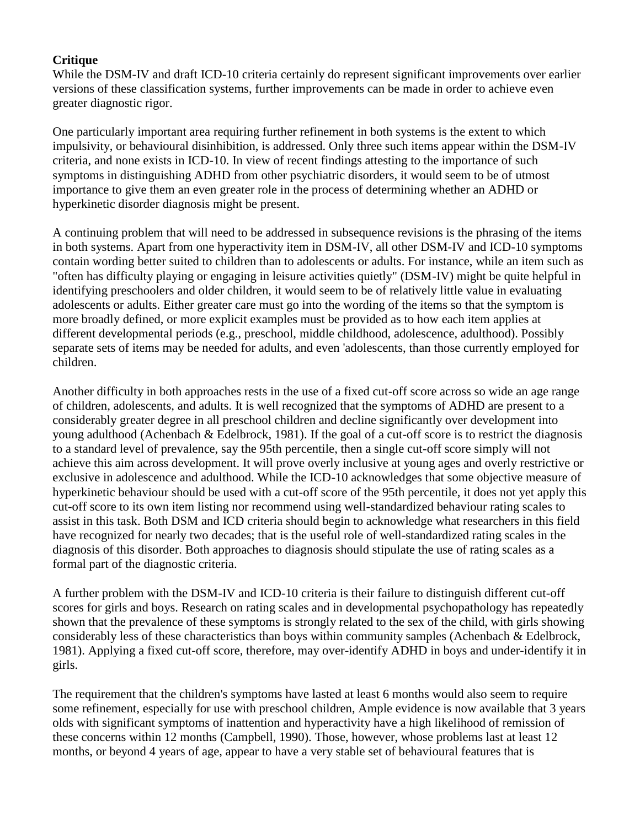# **Critique**

While the DSM-IV and draft ICD-10 criteria certainly do represent significant improvements over earlier versions of these classification systems, further improvements can be made in order to achieve even greater diagnostic rigor.

One particularly important area requiring further refinement in both systems is the extent to which impulsivity, or behavioural disinhibition, is addressed. Only three such items appear within the DSM-IV criteria, and none exists in ICD-10. In view of recent findings attesting to the importance of such symptoms in distinguishing ADHD from other psychiatric disorders, it would seem to be of utmost importance to give them an even greater role in the process of determining whether an ADHD or hyperkinetic disorder diagnosis might be present.

A continuing problem that will need to be addressed in subsequence revisions is the phrasing of the items in both systems. Apart from one hyperactivity item in DSM-IV, all other DSM-IV and ICD-10 symptoms contain wording better suited to children than to adolescents or adults. For instance, while an item such as "often has difficulty playing or engaging in leisure activities quietly" (DSM-IV) might be quite helpful in identifying preschoolers and older children, it would seem to be of relatively little value in evaluating adolescents or adults. Either greater care must go into the wording of the items so that the symptom is more broadly defined, or more explicit examples must be provided as to how each item applies at different developmental periods (e.g., preschool, middle childhood, adolescence, adulthood). Possibly separate sets of items may be needed for adults, and even 'adolescents, than those currently employed for children.

Another difficulty in both approaches rests in the use of a fixed cut-off score across so wide an age range of children, adolescents, and adults. It is well recognized that the symptoms of ADHD are present to a considerably greater degree in all preschool children and decline significantly over development into young adulthood (Achenbach & Edelbrock, 1981). If the goal of a cut-off score is to restrict the diagnosis to a standard level of prevalence, say the 95th percentile, then a single cut-off score simply will not achieve this aim across development. It will prove overly inclusive at young ages and overly restrictive or exclusive in adolescence and adulthood. While the ICD-10 acknowledges that some objective measure of hyperkinetic behaviour should be used with a cut-off score of the 95th percentile, it does not yet apply this cut-off score to its own item listing nor recommend using well-standardized behaviour rating scales to assist in this task. Both DSM and ICD criteria should begin to acknowledge what researchers in this field have recognized for nearly two decades; that is the useful role of well-standardized rating scales in the diagnosis of this disorder. Both approaches to diagnosis should stipulate the use of rating scales as a formal part of the diagnostic criteria.

A further problem with the DSM-IV and ICD-10 criteria is their failure to distinguish different cut-off scores for girls and boys. Research on rating scales and in developmental psychopathology has repeatedly shown that the prevalence of these symptoms is strongly related to the sex of the child, with girls showing considerably less of these characteristics than boys within community samples (Achenbach & Edelbrock, 1981). Applying a fixed cut-off score, therefore, may over-identify ADHD in boys and under-identify it in girls.

The requirement that the children's symptoms have lasted at least 6 months would also seem to require some refinement, especially for use with preschool children, Ample evidence is now available that 3 years olds with significant symptoms of inattention and hyperactivity have a high likelihood of remission of these concerns within 12 months (Campbell, 1990). Those, however, whose problems last at least 12 months, or beyond 4 years of age, appear to have a very stable set of behavioural features that is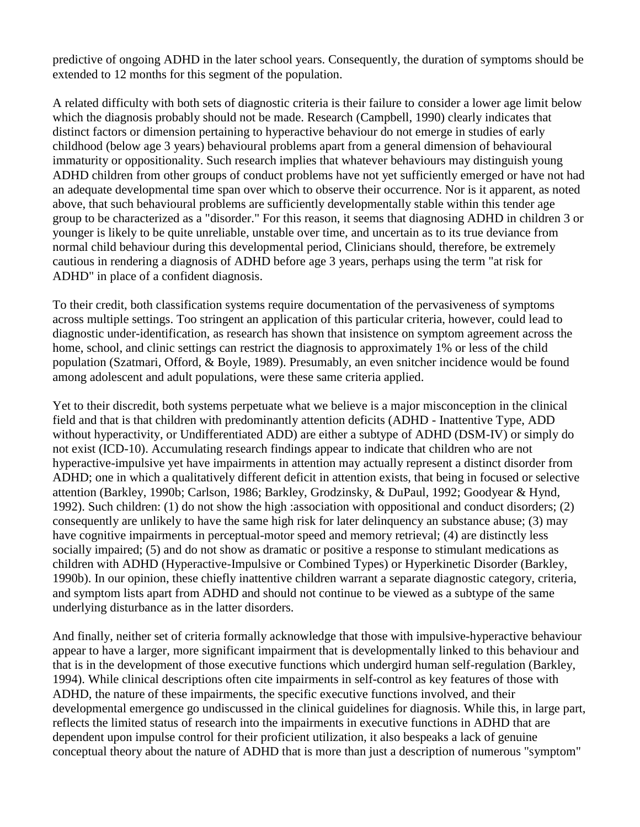predictive of ongoing ADHD in the later school years. Consequently, the duration of symptoms should be extended to 12 months for this segment of the population.

A related difficulty with both sets of diagnostic criteria is their failure to consider a lower age limit below which the diagnosis probably should not be made. Research (Campbell, 1990) clearly indicates that distinct factors or dimension pertaining to hyperactive behaviour do not emerge in studies of early childhood (below age 3 years) behavioural problems apart from a general dimension of behavioural immaturity or oppositionality. Such research implies that whatever behaviours may distinguish young ADHD children from other groups of conduct problems have not yet sufficiently emerged or have not had an adequate developmental time span over which to observe their occurrence. Nor is it apparent, as noted above, that such behavioural problems are sufficiently developmentally stable within this tender age group to be characterized as a "disorder." For this reason, it seems that diagnosing ADHD in children 3 or younger is likely to be quite unreliable, unstable over time, and uncertain as to its true deviance from normal child behaviour during this developmental period, Clinicians should, therefore, be extremely cautious in rendering a diagnosis of ADHD before age 3 years, perhaps using the term "at risk for ADHD" in place of a confident diagnosis.

To their credit, both classification systems require documentation of the pervasiveness of symptoms across multiple settings. Too stringent an application of this particular criteria, however, could lead to diagnostic under-identification, as research has shown that insistence on symptom agreement across the home, school, and clinic settings can restrict the diagnosis to approximately 1% or less of the child population (Szatmari, Offord, & Boyle, 1989). Presumably, an even snitcher incidence would be found among adolescent and adult populations, were these same criteria applied.

Yet to their discredit, both systems perpetuate what we believe is a major misconception in the clinical field and that is that children with predominantly attention deficits (ADHD - Inattentive Type, ADD without hyperactivity, or Undifferentiated ADD) are either a subtype of ADHD (DSM-IV) or simply do not exist (ICD-10). Accumulating research findings appear to indicate that children who are not hyperactive-impulsive yet have impairments in attention may actually represent a distinct disorder from ADHD; one in which a qualitatively different deficit in attention exists, that being in focused or selective attention (Barkley, 1990b; Carlson, 1986; Barkley, Grodzinsky, & DuPaul, 1992; Goodyear & Hynd, 1992). Such children: (1) do not show the high :association with oppositional and conduct disorders; (2) consequently are unlikely to have the same high risk for later delinquency an substance abuse; (3) may have cognitive impairments in perceptual-motor speed and memory retrieval; (4) are distinctly less socially impaired; (5) and do not show as dramatic or positive a response to stimulant medications as children with ADHD (Hyperactive-Impulsive or Combined Types) or Hyperkinetic Disorder (Barkley, 1990b). In our opinion, these chiefly inattentive children warrant a separate diagnostic category, criteria, and symptom lists apart from ADHD and should not continue to be viewed as a subtype of the same underlying disturbance as in the latter disorders.

And finally, neither set of criteria formally acknowledge that those with impulsive-hyperactive behaviour appear to have a larger, more significant impairment that is developmentally linked to this behaviour and that is in the development of those executive functions which undergird human self-regulation (Barkley, 1994). While clinical descriptions often cite impairments in self-control as key features of those with ADHD, the nature of these impairments, the specific executive functions involved, and their developmental emergence go undiscussed in the clinical guidelines for diagnosis. While this, in large part, reflects the limited status of research into the impairments in executive functions in ADHD that are dependent upon impulse control for their proficient utilization, it also bespeaks a lack of genuine conceptual theory about the nature of ADHD that is more than just a description of numerous "symptom"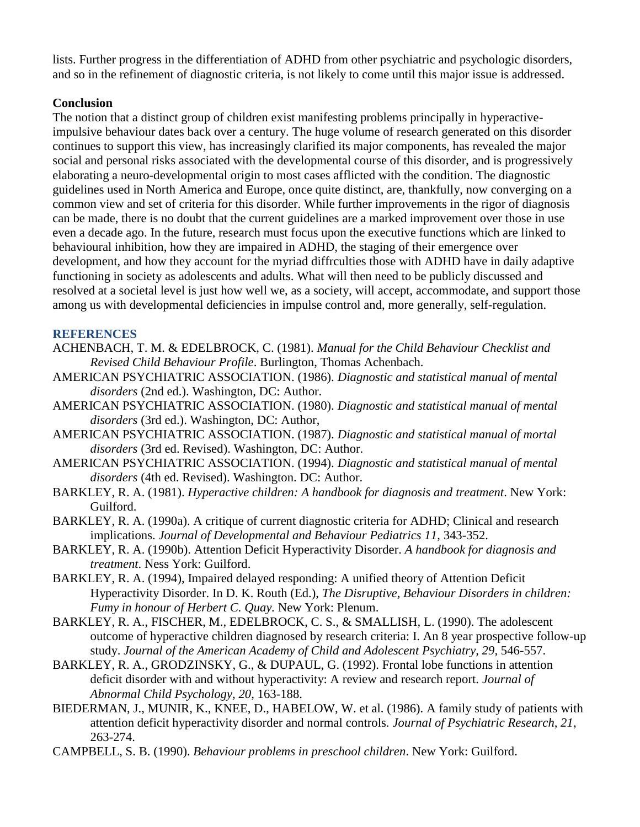lists. Further progress in the differentiation of ADHD from other psychiatric and psychologic disorders, and so in the refinement of diagnostic criteria, is not likely to come until this major issue is addressed.

# **Conclusion**

The notion that a distinct group of children exist manifesting problems principally in hyperactiveimpulsive behaviour dates back over a century. The huge volume of research generated on this disorder continues to support this view, has increasingly clarified its major components, has revealed the major social and personal risks associated with the developmental course of this disorder, and is progressively elaborating a neuro-developmental origin to most cases afflicted with the condition. The diagnostic guidelines used in North America and Europe, once quite distinct, are, thankfully, now converging on a common view and set of criteria for this disorder. While further improvements in the rigor of diagnosis can be made, there is no doubt that the current guidelines are a marked improvement over those in use even a decade ago. In the future, research must focus upon the executive functions which are linked to behavioural inhibition, how they are impaired in ADHD, the staging of their emergence over development, and how they account for the myriad diffrculties those with ADHD have in daily adaptive functioning in society as adolescents and adults. What will then need to be publicly discussed and resolved at a societal level is just how well we, as a society, will accept, accommodate, and support those among us with developmental deficiencies in impulse control and, more generally, self-regulation.

### **REFERENCES**

- ACHENBACH, T. M. & EDELBROCK, C. (1981). *Manual for the Child Behaviour Checklist and Revised Child Behaviour Profile*. Burlington, Thomas Achenbach.
- AMERICAN PSYCHIATRIC ASSOCIATION. (1986). *Diagnostic and statistical manual of mental disorders* (2nd ed.). Washington, DC: Author.
- AMERICAN PSYCHIATRIC ASSOCIATION. (1980). *Diagnostic and statistical manual of mental disorders* (3rd ed.). Washington, DC: Author,
- AMERICAN PSYCHIATRIC ASSOCIATION. (1987). *Diagnostic and statistical manual of mortal disorders* (3rd ed. Revised). Washington, DC: Author.
- AMERICAN PSYCHIATRIC ASSOCIATION. (1994). *Diagnostic and statistical manual of mental disorders* (4th ed. Revised). Washington. DC: Author.
- BARKLEY, R. A. (1981). *Hyperactive children: A handbook for diagnosis and treatment*. New York: Guilford.
- BARKLEY, R. A. (1990a). A critique of current diagnostic criteria for ADHD; Clinical and research implications. *Journal of Developmental and Behaviour Pediatrics 11*, 343-352.
- BARKLEY, R. A. (1990b). Attention Deficit Hyperactivity Disorder. *A handbook for diagnosis and treatment*. Ness York: Guilford.
- BARKLEY, R. A. (1994), Impaired delayed responding: A unified theory of Attention Deficit Hyperactivity Disorder. In D. K. Routh (Ed.), *The Disruptive, Behaviour Disorders in children: Fumy in honour of Herbert C. Quay.* New York: Plenum.
- BARKLEY, R. A., FISCHER, M., EDELBROCK, C. S., & SMALLISH, L. (1990). The adolescent outcome of hyperactive children diagnosed by research criteria: I. An 8 year prospective follow-up study. *Journal of the American Academy of Child and Adolescent Psychiatry, 29*, 546-557.
- BARKLEY, R. A., GRODZINSKY, G., & DUPAUL, G. (1992). Frontal lobe functions in attention deficit disorder with and without hyperactivity: A review and research report. *Journal of Abnormal Child Psychology, 20*, 163-188.
- BIEDERMAN, J., MUNIR, K., KNEE, D., HABELOW, W. et al. (1986). A family study of patients with attention deficit hyperactivity disorder and normal controls. *Journal of Psychiatric Research, 21*, 263-274.
- CAMPBELL, S. B. (1990). *Behaviour problems in preschool children*. New York: Guilford.